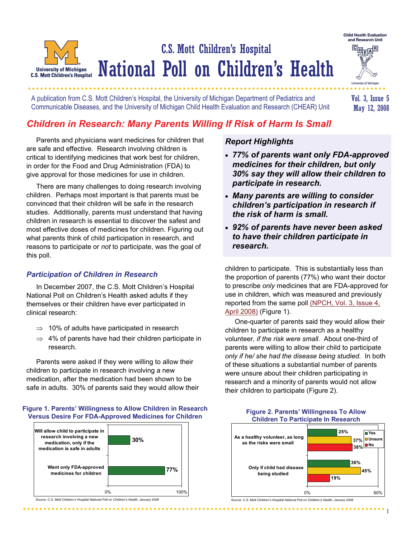## C.S. Mott Children's Hospital National Poll on Children's Health **University of Michigan C.S. Mott Children's Hospital**

A publication from C.S. Mott Children's Hospital, the University of Michigan Department of Pediatrics and Communicable Diseases, and the University of Michigan Child Health Evaluation and Research (CHEAR) Unit

Vol. 3, Issue 5 May 12, 2008

**Child Health Evaluation** and Research Unit  $\overline{\mathbb{F}_{\text{M}}^{\text{max}}}\mathbb{F}$ 

University of Michigan

# *Children in Research: Many Parents Willing If Risk of Harm Is Small*

 Parents and physicians want medicines for children that are safe and effective. Research involving children is critical to identifying medicines that work best for children, in order for the Food and Drug Administration (FDA) to give approval for those medicines for use in children.

 There are many challenges to doing research involving children. Perhaps most important is that parents must be convinced that their children will be safe in the research studies. Additionally, parents must understand that having children in research is essential to discover the safest and most effective doses of medicines for children. Figuring out what parents think of child participation in research, and reasons to participate or *not* to participate, was the goal of this poll.

### *Participation of Children in Research*

 In December 2007, the C.S. Mott Children's Hospital National Poll on Children's Health asked adults if they themselves or their children have ever participated in clinical research:

- $\Rightarrow$  10% of adults have participated in research
- $\Rightarrow$  4% of parents have had their children participate in research.

 Parents were asked if they were willing to allow their children to participate in research involving a new medication, after the medication had been shown to be safe in adults. 30% of parents said they would allow their

#### **Figure 1. Parents' Willingness to Allow Children in Research Versus Desire For FDA-Approved Medicines for Children**



*Source: C.S. Mott Children's Hospital National Poll on Children's Health, January 2008*

## *Report Highlights*

- *77% of parents want only FDA-approved medicines for their children, but only 30% say they will allow their children to participate in research.*
- *Many parents are willing to consider children's participation in research if the risk of harm is small.*
- *92% of parents have never been asked to have their children participate in research.*

children to participate. This is substantially less than the proportion of parents (77%) who want their doctor to prescribe *only* medicines that are FDA-approved for use in children, which was measured and previously reported from the same poll (NPCH, Vol. 3, Issue 4, April 2008) (Figure 1).

 One-quarter of parents said they would allow their children to participate in research as a healthy volunteer*, if the risk were small.* About one-third of parents were willing to allow their child to participate *only if he/ she had the disease being studied.* In both of these situations a substantial number of parents were unsure about their children participating in research and a minority of parents would not allow their children to participate (Figure 2).



#### **Figure 2. Parents' Willingness To Allow Children To Participate In Research**

*Source: C.S. Mott Children's Hospital National Poll on Children's Health, January 2008*